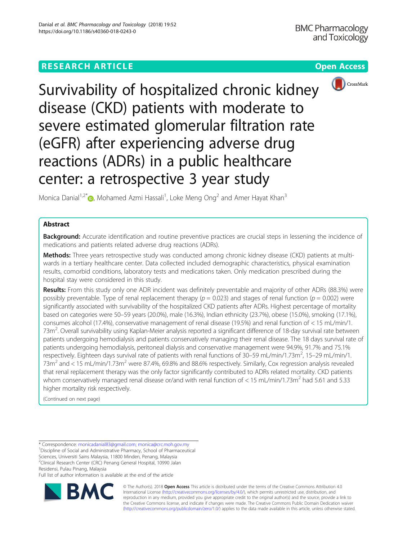# **RESEARCH ARTICLE Example 2014 12:30 The Contract of Contract ACCESS**



Survivability of hospitalized chronic kidney disease (CKD) patients with moderate to severe estimated glomerular filtration rate (eGFR) after experiencing adverse drug reactions (ADRs) in a public healthcare center: a retrospective 3 year study

Monica Danial<sup>1,2[\\*](http://orcid.org/0000-0001-6850-8482)</sup> , Mohamed Azmi Hassali<sup>1</sup>, Loke Meng Ong<sup>2</sup> and Amer Hayat Khan<sup>3</sup>

## Abstract

Background: Accurate identification and routine preventive practices are crucial steps in lessening the incidence of medications and patients related adverse drug reactions (ADRs).

Methods: Three years retrospective study was conducted among chronic kidney disease (CKD) patients at multiwards in a tertiary healthcare center. Data collected included demographic characteristics, physical examination results, comorbid conditions, laboratory tests and medications taken. Only medication prescribed during the hospital stay were considered in this study.

Results: From this study only one ADR incident was definitely preventable and majority of other ADRs (88.3%) were possibly preventable. Type of renal replacement therapy ( $p = 0.023$ ) and stages of renal function ( $p = 0.002$ ) were significantly associated with survivability of the hospitalized CKD patients after ADRs. Highest percentage of mortality based on categories were 50–59 years (20.0%), male (16.3%), Indian ethnicity (23.7%), obese (15.0%), smoking (17.1%), consumes alcohol (17.4%), conservative management of renal disease (19.5%) and renal function of < 15 mL/min/1. 73m<sup>2</sup>. Overall survivability using Kaplan-Meier analysis reported a significant difference of 18-day survival rate between patients undergoing hemodialysis and patients conservatively managing their renal disease. The 18 days survival rate of patients undergoing hemodialysis, peritoneal dialysis and conservative management were 94.9%, 91.7% and 75.1% .<br>respectively. Eighteen days survival rate of patients with renal functions of 30–59 mL/min/1.73m<sup>2</sup>, 15–29 mL/min/1.  $73m^2$  and < 15 mL/min/1.73m<sup>2</sup> were 87.4%, 69.8% and 88.6% respectively. Similarly, Cox regression analysis revealed that renal replacement therapy was the only factor significantly contributed to ADRs related mortality. CKD patients whom conservatively managed renal disease or/and with renal function of < 15 mL/min/1.73m<sup>2</sup> had 5.61 and 5.33 higher mortality risk respectively.

(Continued on next page)

\* Correspondence: [monicadanial83@gmail.com;](mailto:monicadanial83@gmail.com) [monica@crc.moh.gov.my](mailto:monica@crc.moh.gov.my) <sup>1</sup>

<sup>1</sup>Discipline of Social and Administrative Pharmacy, School of Pharmaceutical Sciences, Universiti Sains Malaysia, 11800 Minden, Penang, Malaysia 2 Clinical Research Center (CRC) Penang General Hospital, 10990 Jalan

Residensi, Pulau Pinang, Malaysia

Full list of author information is available at the end of the article



© The Author(s). 2018 Open Access This article is distributed under the terms of the Creative Commons Attribution 4.0 International License [\(http://creativecommons.org/licenses/by/4.0/](http://creativecommons.org/licenses/by/4.0/)), which permits unrestricted use, distribution, and reproduction in any medium, provided you give appropriate credit to the original author(s) and the source, provide a link to the Creative Commons license, and indicate if changes were made. The Creative Commons Public Domain Dedication waiver [\(http://creativecommons.org/publicdomain/zero/1.0/](http://creativecommons.org/publicdomain/zero/1.0/)) applies to the data made available in this article, unless otherwise stated.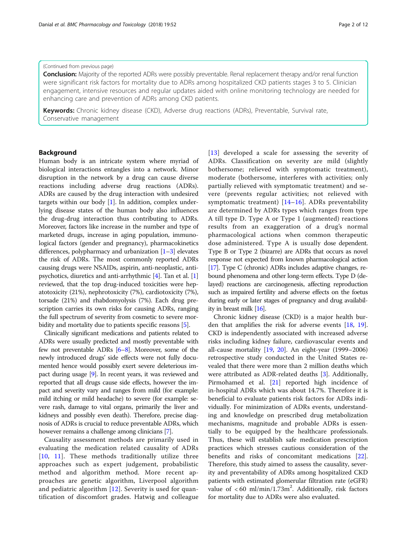#### (Continued from previous page)

Conclusion: Majority of the reported ADRs were possibly preventable. Renal replacement therapy and/or renal function were significant risk factors for mortality due to ADRs among hospitalized CKD patients stages 3 to 5. Clinician engagement, intensive resources and regular updates aided with online monitoring technology are needed for enhancing care and prevention of ADRs among CKD patients.

Keywords: Chronic kidney disease (CKD), Adverse drug reactions (ADRs), Preventable, Survival rate, Conservative management

### Background

Human body is an intricate system where myriad of biological interactions entangles into a network. Minor disruption in the network by a drug can cause diverse reactions including adverse drug reactions (ADRs). ADRs are caused by the drug interaction with undesired targets within our body  $[1]$  $[1]$ . In addition, complex underlying disease states of the human body also influences the drug-drug interaction thus contributing to ADRs. Moreover, factors like increase in the number and type of marketed drugs, increase in aging population, immunological factors (gender and pregnancy), pharmacokinetics differences, polypharmacy and urbanization  $[1-3]$  $[1-3]$  $[1-3]$  $[1-3]$  elevates the risk of ADRs. The most commonly reported ADRs causing drugs were NSAIDs, aspirin, anti-neoplastic, antipsychotics, diuretics and anti-arrhythmic [[4](#page-10-0)]. Tan et al. [[1](#page-10-0)] reviewed, that the top drug-induced toxicities were hepatotoxicity (21%), nephrotoxicity (7%), cardiotoxicity (7%), torsade (21%) and rhabdomyolysis (7%). Each drug prescription carries its own risks for causing ADRs, ranging the full spectrum of severity from cosmetic to severe mor-bidity and mortality due to patients specific reasons [\[5](#page-10-0)].

Clinically significant medications and patients related to ADRs were usually predicted and mostly preventable with few not preventable ADRs [\[6](#page-10-0)–[8\]](#page-10-0). Moreover, some of the newly introduced drugs' side effects were not fully documented hence would possibly exert severe deleterious impact during usage [[9](#page-10-0)]. In recent years, it was reviewed and reported that all drugs cause side effects, however the impact and severity vary and ranges from mild (for example: mild itching or mild headache) to severe (for example: severe rash, damage to vital organs, primarily the liver and kidneys and possibly even death). Therefore, precise diagnosis of ADRs is crucial to reduce preventable ADRs, which however remains a challenge among clinicians [\[7](#page-10-0)].

Causality assessment methods are primarily used in evaluating the medication related causality of ADRs [[10](#page-10-0), [11\]](#page-10-0). These methods traditionally utilize three approaches such as expert judgement, probabilistic method and algorithm method. More recent approaches are genetic algorithm, Liverpool algorithm and pediatric algorithm [[12](#page-10-0)]. Severity is used for quantification of discomfort grades. Hatwig and colleague [[13](#page-10-0)] developed a scale for assessing the severity of ADRs. Classification on severity are mild (slightly bothersome; relieved with symptomatic treatment), moderate (bothersome, interferes with activities; only partially relieved with symptomatic treatment) and severe (prevents regular activities; not relieved with symptomatic treatment) [[14](#page-10-0)–[16](#page-10-0)]. ADRs preventability are determined by ADRs types which ranges from type A till type D. Type A or Type 1 (augmented) reactions results from an exaggeration of a drug's normal pharmacological actions when common therapeutic dose administered. Type A is usually dose dependent. Type B or Type 2 (bizarre) are ADRs that occurs as novel response not expected from known pharmacological action [[17\]](#page-10-0). Type C (chronic) ADRs includes adaptive changes, rebound phenomena and other long-term effects. Type D (delayed) reactions are carcinogenesis, affecting reproduction such as impaired fertility and adverse effects on the foetus during early or later stages of pregnancy and drug availability in breast milk [\[16\]](#page-10-0).

Chronic kidney disease (CKD) is a major health burden that amplifies the risk for adverse events [[18,](#page-10-0) [19](#page-10-0)]. CKD is independently associated with increased adverse risks including kidney failure, cardiovascular events and all-cause mortality [\[19](#page-10-0), [20\]](#page-10-0). An eight-year (1999–2006) retrospective study conducted in the United States revealed that there were more than 2 million deaths which were attributed as ADR-related deaths [\[3](#page-10-0)]. Additionally, Pirmohamed et al. [\[21\]](#page-10-0) reported high incidence of in-hospital ADRs which was about 14.7%. Therefore it is beneficial to evaluate patients risk factors for ADRs individually. For minimization of ADRs events, understanding and knowledge on prescribed drug metabolization mechanisms, magnitude and probable ADRs is essentially to be equipped by the healthcare professionals. Thus, these will establish safe medication prescription practices which stresses cautious consideration of the benefits and risks of concomitant medications [\[22](#page-10-0)]. Therefore, this study aimed to assess the causality, severity and preventability of ADRs among hospitalized CKD patients with estimated glomerular filtration rate (eGFR) value of  $<$  60 ml/min/1.73m<sup>2</sup>. Additionally, risk factors for mortality due to ADRs were also evaluated.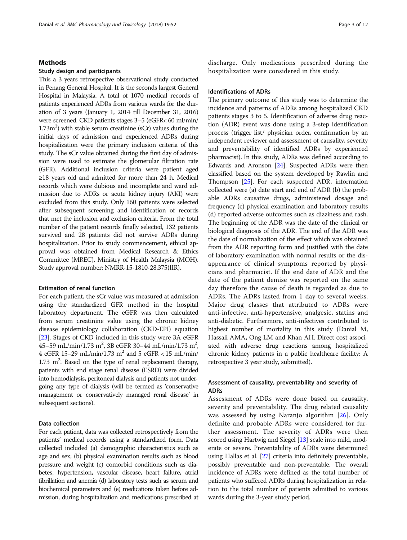### Methods

#### Study design and participants

This a 3 years retrospective observational study conducted in Penang General Hospital. It is the seconds largest General Hospital in Malaysia. A total of 1070 medical records of patients experienced ADRs from various wards for the duration of 3 years (January 1, 2014 till December 31, 2016) were screened. CKD patients stages 3–5 (eGFR< 60 ml/min/  $1.73m<sup>2</sup>$ ) with stable serum creatinine (sCr) values during the initial days of admission and experienced ADRs during hospitalization were the primary inclusion criteria of this study. The sCr value obtained during the first day of admission were used to estimate the glomerular filtration rate (GFR). Additional inclusion criteria were patient aged ≥18 years old and admitted for more than 24 h. Medical records which were dubious and incomplete and ward admission due to ADRs or acute kidney injury (AKI) were excluded from this study. Only 160 patients were selected after subsequent screening and identification of records that met the inclusion and exclusion criteria. From the total number of the patient records finally selected, 132 patients survived and 28 patients did not survive ADRs during hospitalization. Prior to study commencement, ethical approval was obtained from Medical Research & Ethics Committee (MREC), Ministry of Health Malaysia (MOH). Study approval number: NMRR-15-1810-28,375(IIR).

### Estimation of renal function

For each patient, the sCr value was measured at admission using the standardized GFR method in the hospital laboratory department. The eGFR was then calculated from serum creatinine value using the chronic kidney disease epidemiology collaboration (CKD-EPI) equation [[23](#page-10-0)]. Stages of CKD included in this study were 3A eGFR 45–59 mL/min/1.73 m<sup>2</sup>, 3B eGFR 30–44 mL/min/1.73 m<sup>2</sup>, 4 eGFR 15–29 mL/min/1.73  $m^2$  and 5 eGFR < 15 mL/min/  $1.73$  m<sup>2</sup>. Based on the type of renal replacement therapy, patients with end stage renal disease (ESRD) were divided into hemodialysis, peritoneal dialysis and patients not undergoing any type of dialysis (will be termed as 'conservative management or conservatively managed renal disease' in subsequent sections).

### Data collection

For each patient, data was collected retrospectively from the patients' medical records using a standardized form. Data collected included (a) demographic characteristics such as age and sex; (b) physical examination results such as blood pressure and weight (c) comorbid conditions such as diabetes, hypertension, vascular disease, heart failure, atrial fibrillation and anemia (d) laboratory tests such as serum and biochemical parameters and (e) medications taken before admission, during hospitalization and medications prescribed at discharge. Only medications prescribed during the hospitalization were considered in this study.

#### Identifications of ADRs

The primary outcome of this study was to determine the incidence and patterns of ADRs among hospitalized CKD patients stages 3 to 5. Identification of adverse drug reaction (ADR) event was done using a 3-step identification process (trigger list/ physician order, confirmation by an independent reviewer and assessment of causality, severity and preventability of identified ADRs by experienced pharmacist). In this study, ADRs was defined according to Edwards and Aronson [[24\]](#page-10-0). Suspected ADRs were then classified based on the system developed by Rawlin and Thompson [\[25\]](#page-10-0). For each suspected ADR, information collected were (a) date start and end of ADR (b) the probable ADRs causative drugs, administered dosage and frequency (c) physical examination and laboratory results (d) reported adverse outcomes such as dizziness and rash. The beginning of the ADR was the date of the clinical or biological diagnosis of the ADR. The end of the ADR was the date of normalization of the effect which was obtained from the ADR reporting form and justified with the date of laboratory examination with normal results or the disappearance of clinical symptoms reported by physicians and pharmacist. If the end date of ADR and the date of the patient demise was reported on the same day therefore the cause of death is regarded as due to ADRs. The ADRs lasted from 1 day to several weeks. Major drug classes that attributed to ADRs were anti-infective, anti-hypertensive, analgesic, statins and anti-diabetic. Furthermore, anti-infectives contributed to highest number of mortality in this study (Danial M, Hassali AMA, Ong LM and Khan AH. Direct cost associated with adverse drug reactions among hospitalized chronic kidney patients in a public healthcare facility: A retrospective 3 year study, submitted).

### Assessment of causality, preventability and severity of ADRs

Assessment of ADRs were done based on causality, severity and preventability. The drug related causality was assessed by using Naranjo algorithm [[26](#page-10-0)]. Only definite and probable ADRs were considered for further assessment. The severity of ADRs were then scored using Hartwig and Siegel [\[13](#page-10-0)] scale into mild, moderate or severe. Preventability of ADRs were determined using Hallas et al. [\[27](#page-10-0)] criteria into definitely preventable, possibly preventable and non-preventable. The overall incidence of ADRs were defined as the total number of patients who suffered ADRs during hospitalization in relation to the total number of patients admitted to various wards during the 3-year study period.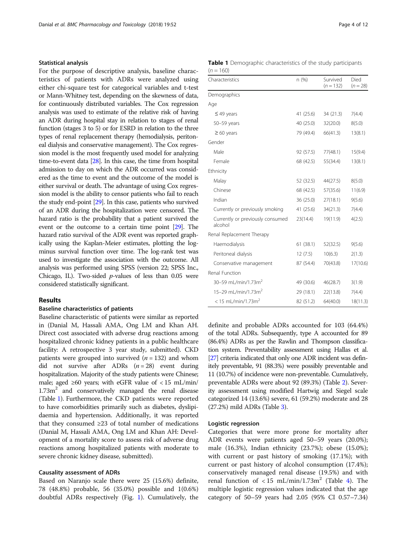### Statistical analysis

For the purpose of descriptive analysis, baseline characteristics of patients with ADRs were analyzed using either chi-square test for categorical variables and t-test or Mann-Whitney test, depending on the skewness of data, for continuously distributed variables. The Cox regression analysis was used to estimate of the relative risk of having an ADR during hospital stay in relation to stages of renal function (stages 3 to 5) or for ESRD in relation to the three types of renal replacement therapy (hemodialysis, peritoneal dialysis and conservative management). The Cox regression model is the most frequently used model for analyzing time-to-event data [\[28\]](#page-10-0). In this case, the time from hospital admission to day on which the ADR occurred was considered as the time to event and the outcome of the model is either survival or death. The advantage of using Cox regression model is the ability to censor patients who fail to reach the study end-point [\[29\]](#page-10-0). In this case, patients who survived of an ADR during the hospitalization were censored. The hazard ratio is the probability that a patient survived the event or the outcome to a certain time point [[29](#page-10-0)]. The hazard ratio survival of the ADR event was reported graphically using the Kaplan-Meier estimates, plotting the logminus survival function over time. The log-rank test was used to investigate the association with the outcome. All analysis was performed using SPSS (version 22; SPSS Inc., Chicago, IL). Two-sided  $p$ -values of less than 0.05 were considered statistically significant.

#### Results

### Baseline characteristics of patients

Baseline characteristic of patients were similar as reported in (Danial M, Hassali AMA, Ong LM and Khan AH. Direct cost associated with adverse drug reactions among hospitalized chronic kidney patients in a public healthcare facility: A retrospective 3 year study, submitted). CKD patients were grouped into survived  $(n = 132)$  and whom did not survive after ADRs  $(n = 28)$  event during hospitalization. Majority of the study patients were Chinese; male; aged  $\geq 60$  years; with eGFR value of < 15 mL/min/  $1.73m<sup>2</sup>$  and conservatively managed the renal disease (Table 1). Furthermore, the CKD patients were reported to have comorbidities primarily such as diabetes, dyslipidaemia and hypertension. Additionally, it was reported that they consumed  $\geq 23$  of total number of medications (Danial M, Hassali AMA, Ong LM and Khan AH: Development of a mortality score to assess risk of adverse drug reactions among hospitalized patients with moderate to severe chronic kidney disease, submitted).

#### Causality assessment of ADRs

Based on Naranjo scale there were 25 (15.6%) definite, 78 (48.8%) probable, 56 (35.0%) possible and 1(0.6%) doubtful ADRs respectively (Fig. [1\)](#page-4-0). Cumulatively, the

|             | Table 1 Demographic characteristics of the study participants |  |  |
|-------------|---------------------------------------------------------------|--|--|
| $(n = 160)$ |                                                               |  |  |

| Characteristics                             | n(%)      | Survived<br>$(n = 132)$ | Died<br>$(n = 28)$ |
|---------------------------------------------|-----------|-------------------------|--------------------|
| Demographics                                |           |                         |                    |
| Age                                         |           |                         |                    |
| $\leq$ 49 years                             | 41 (25.6) | 34 (21.3)               | 7(4.4)             |
| 50-59 years                                 | 40 (25.0) | 32(20.0)                | 8(5.0)             |
| $\geq 60$ years                             | 79 (49.4) | 66(41.3)                | 13(8.1)            |
| Gender                                      |           |                         |                    |
| Male                                        | 92 (57.5) | 77(48.1)                | 15(9.4)            |
| Female                                      | 68 (42.5) | 55(34.4)                | 13(8.1)            |
| Ethnicity                                   |           |                         |                    |
| Malay                                       | 52 (32.5) | 44(27.5)                | 8(5.0)             |
| Chinese                                     | 68 (42.5) | 57(35.6)                | 11(6.9)            |
| Indian                                      | 36(25.0)  | 27(18.1)                | 9(5.6)             |
| Currently or previously smoking             | 41(25.6)  | 34(21.3)                | 7(4.4)             |
| Currently or previously consumed<br>alcohol | 23(14.4)  | 19(11.9)                | 4(2.5)             |
| Renal Replacement Therapy                   |           |                         |                    |
| Haemodialysis                               | 61(38.1)  | 52(32.5)                | 9(5.6)             |
| Peritoneal dialysis                         | 12(7.5)   | 10(6.3)                 | 2(1.3)             |
| Conservative management                     | 87 (54.4) | 70(43.8)                | 17(10.6)           |
| Renal Function                              |           |                         |                    |
| 30-59 mL/min/1.73m <sup>2</sup>             | 49 (30.6) | 46(28.7)                | 3(1.9)             |
| 15-29 mL/min/1.73m <sup>2</sup>             | 29 (18.1) | 22(13.8)                | 7(4.4)             |
| $<$ 15 mL/min/1.73m <sup>2</sup>            | 82 (51.2) | 64(40.0)                | 18(11.3)           |

definite and probable ADRs accounted for 103 (64.4%) of the total ADRs. Subsequently, type A accounted for 89 (86.4%) ADRs as per the Rawlin and Thompson classification system. Preventability assessment using Hallas et al. [[27\]](#page-10-0) criteria indicated that only one ADR incident was definitely preventable, 91 (88.3%) were possibly preventable and 11 (10.7%) of incidence were non-preventable. Cumulatively, preventable ADRs were about 92 (89.3%) (Table [2\)](#page-4-0). Severity assessment using modified Hartwig and Siegel scale categorized 14 (13.6%) severe, 61 (59.2%) moderate and 28 (27.2%) mild ADRs (Table [3](#page-4-0)).

### Logistic regression

Categories that were more prone for mortality after ADR events were patients aged 50–59 years (20.0%); male (16.3%), Indian ethnicity (23.7%); obese (15.0%); with current or past history of smoking (17.1%); with current or past history of alcohol consumption (17.4%); conservatively managed renal disease (19.5%) and with renal function of  $\langle 15 \text{ mL/min}/1.73 \text{m}^2 \rangle$  (Table [4\)](#page-5-0). The multiple logistic regression values indicated that the age category of 50–59 years had 2.05 (95% CI 0.57–7.34)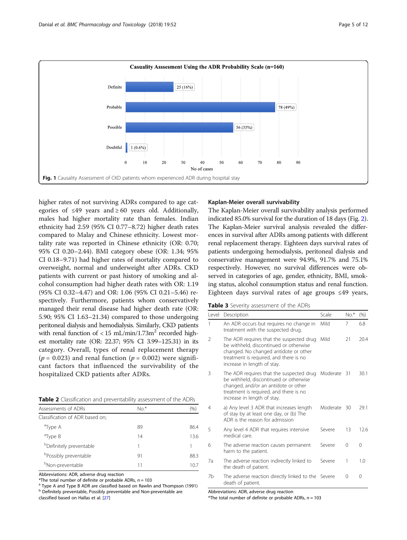<span id="page-4-0"></span>

higher rates of not surviving ADRs compared to age categories of  $\leq 49$  years and  $\geq 60$  years old. Additionally, males had higher mortality rate than females. Indian ethnicity had 2.59 (95% CI 0.77–8.72) higher death rates compared to Malay and Chinese ethnicity. Lowest mortality rate was reported in Chinese ethnicity (OR: 0.70; 95% CI 0.20–2.44). BMI category obese (OR: 1.34; 95% CI 0.18–9.71) had higher rates of mortality compared to overweight, normal and underweight after ADRs. CKD patients with current or past history of smoking and alcohol consumption had higher death rates with OR: 1.19 (95% CI 0.32–4.47) and OR: 1.06 (95% CI 0.21–5.46) respectively. Furthermore, patients whom conservatively managed their renal disease had higher death rate (OR: 5.90; 95% CI 1.63–21.34) compared to those undergoing peritoneal dialysis and hemodialysis. Similarly, CKD patients with renal function of  $< 15$  mL/min/1.73m<sup>2</sup> recorded highest mortality rate (OR: 22.37; 95% CI 3.99–125.31) in its category. Overall, types of renal replacement therapy ( $p = 0.023$ ) and renal function ( $p = 0.002$ ) were significant factors that influenced the survivability of the hospitalized CKD patients after ADRs.

| Table 2 Classification and preventability assessment of the ADRs |
|------------------------------------------------------------------|
|------------------------------------------------------------------|

| Assessments of ADRs                 | $No.*$ | $(\% )$ |
|-------------------------------------|--------|---------|
| Classification of ADR based on;     |        |         |
| <sup>a</sup> Type A                 | 89     | 86.4    |
| <sup>a</sup> Type B                 | 14     | 13.6    |
| <sup>b</sup> Definitely preventable | 1      |         |
| <sup>b</sup> Possibly preventable   | 91     | 88.3    |
| <sup>b</sup> Non-preventable        | 11     | 107     |

Abbreviations: ADR, adverse drug reaction

\*The total number of definite or probable ADRs,  $n = 103$ <br><sup>a</sup> Type A and Type B ADR are classified based on Rawlin and Thompson (1991)

<sup>b</sup> Definitely preventable, Possibly preventable and Non-preventable are classified based on Hallas et al. [\[27](#page-10-0)]

### Kaplan-Meier overall survivability

The Kaplan-Meier overall survivability analysis performed indicated 85.0% survival for the duration of 18 days (Fig. [2](#page-6-0)). The Kaplan-Meier survival analysis revealed the differences in survival after ADRs among patients with different renal replacement therapy. Eighteen days survival rates of patients undergoing hemodialysis, peritoneal dialysis and conservative management were 94.9%, 91.7% and 75.1% respectively. However, no survival differences were observed in categories of age, gender, ethnicity, BMI, smoking status, alcohol consumption status and renal function. Eighteen days survival rates of age groups ≤49 years,

Table 3 Severity assessment of the ADRs

| Level         | Description                                                                                                                                                                                          | Scale       | $No.*$ | (9/6)    |
|---------------|------------------------------------------------------------------------------------------------------------------------------------------------------------------------------------------------------|-------------|--------|----------|
| 1             | An ADR occurs but requires no change in<br>treatment with the suspected drug.                                                                                                                        | Mild        | 7      | 6.8      |
| $\mathcal{P}$ | The ADR requires that the suspected drug<br>be withheld, discontinued or otherwise<br>changed. No changed antidote or other<br>treatment is required, and there is no<br>increase in length of stay. | Mild        | 21     | 20.4     |
| 3             | The ADR requires that the suspected drug<br>be withheld, discontinued or otherwise<br>changed, and/or an antidote or other<br>treatment is required, and there is no<br>increase in length of stay.  | Moderate 31 |        | 30.1     |
| 4             | a) Any level 3 ADR that increases length<br>of stay by at least one day, or (b) The<br>ADR is the reason for admission                                                                               | Moderate    | 30     | 29.1     |
| 5             | Any level 4 ADR that requires intensive<br>medical care.                                                                                                                                             | Severe      | 13     | 12.6     |
| 6             | The adverse reaction causes permanent<br>harm to the patient.                                                                                                                                        | Severe      | 0      | $\Omega$ |
| 7a            | The adverse reaction indirectly linked to<br>the death of patient.                                                                                                                                   | Severe      | 1      | 1.0      |
| 7b            | The adverse reaction directly linked to the Severe<br>death of patient.                                                                                                                              |             | 0      | $\Omega$ |

Abbreviations: ADR, adverse drug reaction

\*The total number of definite or probable ADRs,  $n = 103$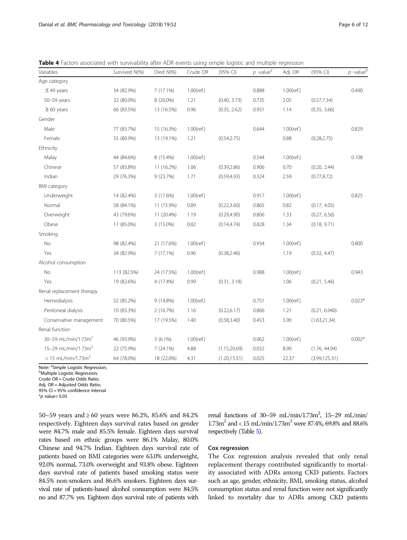| Variables                        | Survived N(%) | Died N(%)  | Crude OR      | (95% CI)      | $p$ -value <sup>a</sup> | Adj. OR       | (95% CI)       | $p$ -value <sup><math>k</math></sup> |
|----------------------------------|---------------|------------|---------------|---------------|-------------------------|---------------|----------------|--------------------------------------|
| Age category                     |               |            |               |               |                         |               |                |                                      |
| $\leq$ 49 years                  | 34 (82.9%)    | 7 (17.1%)  | $1.00$ (ref.) |               | 0.888                   | $1.00$ (ref.) |                | 0.490                                |
| 50-59 years                      | 32 (80.0%)    | 8 (20.0%)  | 1.21          | (0.40, 3.73)  | 0.735                   | 2.05          | (0.57, 7.34)   |                                      |
| $\geq 60$ years                  | 66 (83.5%)    | 13 (16.5%) | 0.96          | (0.35, 2.62)  | 0.931                   | 1.14          | (0.35, 3.66)   |                                      |
| Gender                           |               |            |               |               |                         |               |                |                                      |
| Male                             | 77 (83.7%)    | 15 (16.3%) | $1.00$ (ref.) |               | 0.644                   | $1.00$ (ref.) |                | 0.829                                |
| Female                           | 55 (80.9%)    | 13 (19.1%) | 1.21          | (0.54, 2.75)  |                         | 0.88          | (0.28, 2.75)   |                                      |
| Ethnicity                        |               |            |               |               |                         |               |                |                                      |
| Malay                            | 44 (84.6%)    | 8 (15.4%)  | $1.00$ (ref.) |               | 0.544                   | $1.00$ (ref.) |                | 0.108                                |
| Chinese                          | 57 (83.8%)    | 11 (16.2%) | 1.06          | (0.39, 2.86)  | 0.906                   | 0.70          | (0.20, 2.44)   |                                      |
| Indian                           | 29 (76.3%)    | 9(23.7%)   | 1.71          | (0.59, 4.93)  | 0.324                   | 2.59          | (0.77, 8.72)   |                                      |
| <b>BMI</b> category              |               |            |               |               |                         |               |                |                                      |
| Underweight                      | 14 (82.4%)    | 3 (17.6%)  | $1.00$ (ref.) |               | 0.917                   | $1.00$ (ref.) |                | 0.825                                |
| Normal                           | 58 (84.1%)    | 11 (15.9%) | 0.89          | (0.22, 3.60)  | 0.865                   | 0.82          | (0.17, 4.05)   |                                      |
| Overweight                       | 43 (79.6%)    | 11 (20.4%) | 1.19          | (0.29, 4.90)  | 0.806                   | 1.33          | (0.27, 6.56)   |                                      |
| Obese                            | 17 (85.0%)    | 3 (15.0%)  | 0.82          | (0.14, 4.74)  | 0.828                   | 1.34          | (0.18, 9.71)   |                                      |
| Smoking                          |               |            |               |               |                         |               |                |                                      |
| No                               | 98 (82.4%)    | 21 (17.6%) | $1.00$ (ref.) |               | 0.934                   | $1.00$ (ref.) |                | 0.800                                |
| Yes                              | 34 (82.9%)    | 7 (17.1%)  | 0.96          | (0.38, 2.46)  |                         | 1.19          | (0.32, 4.47)   |                                      |
| Alcohol consumption              |               |            |               |               |                         |               |                |                                      |
| No                               | 113 (82.5%)   | 24 (17.5%) | $1.00$ (ref.) |               | 0.988                   | $1.00$ (ref.) |                | 0.943                                |
| Yes                              | 19 (82.6%)    | 4 (17.4%)  | 0.99          | (0.31, 3.18)  |                         | 1.06          | (0.21, 5.46)   |                                      |
| Renal replacement therapy        |               |            |               |               |                         |               |                |                                      |
| Hemodialysis                     | 52 (85.2%)    | 9 (14.8%)  | $1.00$ (ref.) |               | 0.751                   | $1.00$ (ref.) |                | $0.023*$                             |
| Peritoneal dialysis              | 10 (83.3%)    | 2 (16.7%)  | 1.16          | (0.22, 6.17)  | 0.866                   | 1.21          | (0.21, 6.940)  |                                      |
| Conservative management          | 70 (80.5%)    | 17 (19.5%) | 1.40          | (0.58, 3.40)  | 0.453                   | 5.90          | (1.63, 21.34)  |                                      |
| Renal function                   |               |            |               |               |                         |               |                |                                      |
| 30-59 mL/min/1.73m <sup>2</sup>  | 46 (93.9%)    | $3(6.1\%)$ | $1.00$ (ref.) |               | 0.062                   | $1.00$ (ref.) |                | $0.002*$                             |
| 15-29 mL/min/1.73m <sup>2</sup>  | 22 (75.9%)    | 7(24.1%)   | 4.88          | (1.15, 20.69) | 0.032                   | 8.90          | (1.76, 44.94)  |                                      |
| $<$ 15 mL/min/1.73m <sup>2</sup> | 64 (78.0%)    | 18 (22.0%) | 4.31          | (1.20, 15.51) | 0.025                   | 22.37         | (3.99, 125.31) |                                      |

<span id="page-5-0"></span>Table 4 Factors associated with survivability after ADR events using simple logistic and multiple regression

Note: <sup>a</sup>Simple Logistic Regression;<br><sup>b</sup>Multiple Logistic Regression;

Multiple Logistic Regression;

Crude OR = Crude Odds Ratio;

Adj. OR = Adjusted Odds Ratio;

95% CI = 95% confidence interval

 $*_p$  value $< 0.05$ 

50–59 years and ≥ 60 years were 86.2%, 85.6% and 84.2% respectively. Eighteen days survival rates based on gender were 84.7% male and 85.5% female. Eighteen days survival rates based on ethnic groups were 86.1% Malay, 80.0% Chinese and 94.7% Indian. Eighteen days survival rate of patients based on BMI categories were 63.0% underweight, 92.0% normal, 73.0% overweight and 93.8% obese. Eighteen days survival rate of patients based smoking status were 84.5% non-smokers and 86.6% smokers. Eighteen days survival rate of patients-based alcohol consumption were 84.5% no and 87.7% yes. Eighteen days survival rate of patients with renal functions of 30-59 mL/min/1.73m<sup>2</sup>, 15-29 mL/min/  $1.73$ m<sup>2</sup> and < 15 mL/min/1.73m<sup>2</sup> were 87.4%, 69.8% and 88.6% respectively (Table [5](#page-7-0)).

### Cox regression

The Cox regression analysis revealed that only renal replacement therapy contributed significantly to mortality associated with ADRs among CKD patients. Factors such as age, gender, ethnicity, BMI, smoking status, alcohol consumption status and renal function were not significantly linked to mortality due to ADRs among CKD patients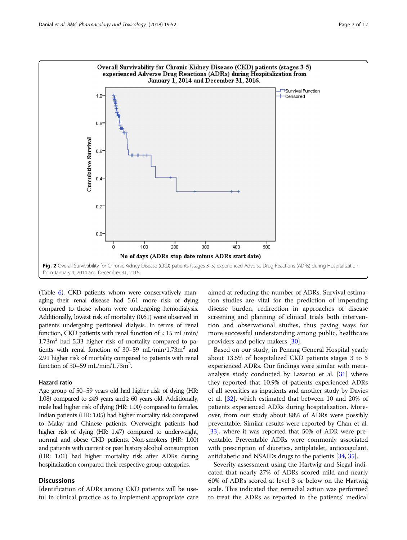<span id="page-6-0"></span>

(Table [6\)](#page-8-0). CKD patients whom were conservatively managing their renal disease had 5.61 more risk of dying compared to those whom were undergoing hemodialysis. Additionally, lowest risk of mortality (0.61) were observed in patients undergoing peritoneal dialysis. In terms of renal function, CKD patients with renal function of  $< 15$  mL/min/  $1.73m<sup>2</sup>$  had 5.33 higher risk of mortality compared to patients with renal function of 30–59 mL/min/1.73m<sup>2</sup> and 2.91 higher risk of mortality compared to patients with renal function of  $30-59$  mL/min/1.73m<sup>2</sup>.

### Hazard ratio

Age group of 50–59 years old had higher risk of dying (HR: 1.08) compared to ≤49 years and ≥ 60 years old. Additionally, male had higher risk of dying (HR: 1.00) compared to females. Indian patients (HR: 1.05) had higher mortality risk compared to Malay and Chinese patients. Overweight patients had higher risk of dying (HR: 1.47) compared to underweight, normal and obese CKD patients. Non-smokers (HR: 1.00) and patients with current or past history alcohol consumption (HR: 1.01) had higher mortality risk after ADRs during hospitalization compared their respective group categories.

### **Discussions**

Identification of ADRs among CKD patients will be useful in clinical practice as to implement appropriate care aimed at reducing the number of ADRs. Survival estimation studies are vital for the prediction of impending disease burden, redirection in approaches of disease screening and planning of clinical trials both intervention and observational studies, thus paving ways for more successful understanding among public, healthcare providers and policy makers [\[30](#page-10-0)].

Based on our study, in Penang General Hospital yearly about 13.5% of hospitalized CKD patients stages 3 to 5 experienced ADRs. Our findings were similar with metaanalysis study conducted by Lazarou et al. [\[31\]](#page-10-0) where they reported that 10.9% of patients experienced ADRs of all severities as inpatients and another study by Davies et al. [\[32\]](#page-10-0), which estimated that between 10 and 20% of patients experienced ADRs during hospitalization. Moreover, from our study about 88% of ADRs were possibly preventable. Similar results were reported by Chan et al. [[33](#page-10-0)], where it was reported that 50% of ADR were preventable. Preventable ADRs were commonly associated with prescription of diuretics, antiplatelet, anticoagulant, antidiabetic and NSAIDs drugs to the patients [\[34,](#page-10-0) [35\]](#page-10-0).

Severity assessment using the Hartwig and Siegal indicated that nearly 27% of ADRs scored mild and nearly 60% of ADRs scored at level 3 or below on the Hartwig scale. This indicated that remedial action was performed to treat the ADRs as reported in the patients' medical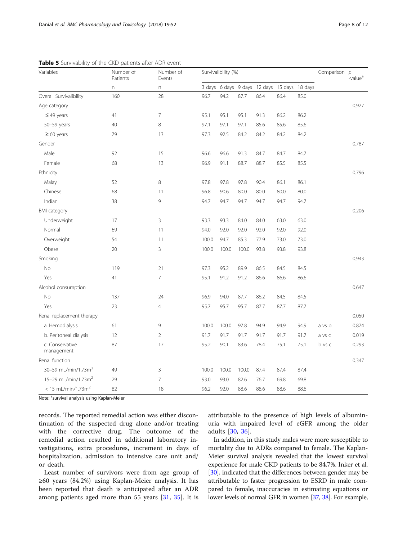| Variables                        | Number of<br>Patients | Number of<br>Events       |       | Survivalibility (%)  |       |      |      |                         | Comparison $p$ | -value $^a$ |
|----------------------------------|-----------------------|---------------------------|-------|----------------------|-------|------|------|-------------------------|----------------|-------------|
|                                  | n                     | $\boldsymbol{\mathsf{n}}$ |       | 3 days 6 days 9 days |       |      |      | 12 days 15 days 18 days |                |             |
| Overall Survivalibility          | 160                   | 28                        | 96.7  | 94.2                 | 87.7  | 86.4 | 86.4 | 85.0                    |                |             |
| Age category                     |                       |                           |       |                      |       |      |      |                         |                | 0.927       |
| $\leq$ 49 years                  | 41                    | $\overline{7}$            | 95.1  | 95.1                 | 95.1  | 91.3 | 86.2 | 86.2                    |                |             |
| 50-59 years                      | 40                    | 8                         | 97.1  | 97.1                 | 97.1  | 85.6 | 85.6 | 85.6                    |                |             |
| $\geq 60$ years                  | 79                    | 13                        | 97.3  | 92.5                 | 84.2  | 84.2 | 84.2 | 84.2                    |                |             |
| Gender                           |                       |                           |       |                      |       |      |      |                         |                | 0.787       |
| Male                             | 92                    | 15                        | 96.6  | 96.6                 | 91.3  | 84.7 | 84.7 | 84.7                    |                |             |
| Female                           | 68                    | 13                        | 96.9  | 91.1                 | 88.7  | 88.7 | 85.5 | 85.5                    |                |             |
| Ethnicity                        |                       |                           |       |                      |       |      |      |                         |                | 0.796       |
| Malay                            | 52                    | 8                         | 97.8  | 97.8                 | 97.8  | 90.4 | 86.1 | 86.1                    |                |             |
| Chinese                          | 68                    | 11                        | 96.8  | 90.6                 | 80.0  | 80.0 | 80.0 | 80.0                    |                |             |
| Indian                           | 38                    | 9                         | 94.7  | 94.7                 | 94.7  | 94.7 | 94.7 | 94.7                    |                |             |
| <b>BMI</b> category              |                       |                           |       |                      |       |      |      |                         |                | 0.206       |
| Underweight                      | 17                    | 3                         | 93.3  | 93.3                 | 84.0  | 84.0 | 63.0 | 63.0                    |                |             |
| Normal                           | 69                    | 11                        | 94.0  | 92.0                 | 92.0  | 92.0 | 92.0 | 92.0                    |                |             |
| Overweight                       | 54                    | 11                        | 100.0 | 94.7                 | 85.3  | 77.9 | 73.0 | 73.0                    |                |             |
| Obese                            | 20                    | 3                         | 100.0 | 100.0                | 100.0 | 93.8 | 93.8 | 93.8                    |                |             |
| Smoking                          |                       |                           |       |                      |       |      |      |                         |                | 0.943       |
| No                               | 119                   | 21                        | 97.3  | 95.2                 | 89.9  | 86.5 | 84.5 | 84.5                    |                |             |
| Yes                              | 41                    | $\overline{\phantom{a}}$  | 95.1  | 91.2                 | 91.2  | 86.6 | 86.6 | 86.6                    |                |             |
| Alcohol consumption              |                       |                           |       |                      |       |      |      |                         |                | 0.647       |
| No                               | 137                   | 24                        | 96.9  | 94.0                 | 87.7  | 86.2 | 84.5 | 84.5                    |                |             |
| Yes                              | 23                    | $\overline{4}$            | 95.7  | 95.7                 | 95.7  | 87.7 | 87.7 | 87.7                    |                |             |
| Renal replacement therapy        |                       |                           |       |                      |       |      |      |                         |                | 0.050       |
| a. Hemodialysis                  | 61                    | 9                         | 100.0 | 100.0                | 97.8  | 94.9 | 94.9 | 94.9                    | a vs b         | 0.874       |
| b. Peritoneal dialysis           | 12                    | $\overline{2}$            | 91.7  | 91.7                 | 91.7  | 91.7 | 91.7 | 91.7                    | a vs c         | 0.019       |
| c. Conservative<br>management    | 87                    | 17                        | 95.2  | 90.1                 | 83.6  | 78.4 | 75.1 | 75.1                    | b vs c         | 0.293       |
| Renal function                   |                       |                           |       |                      |       |      |      |                         |                | 0.347       |
| 30-59 mL/min/1.73m <sup>2</sup>  | 49                    | 3                         | 100.0 | 100.0                | 100.0 | 87.4 | 87.4 | 87.4                    |                |             |
| 15-29 mL/min/1.73m <sup>2</sup>  | 29                    | $\overline{7}$            | 93.0  | 93.0                 | 82.6  | 76.7 | 69.8 | 69.8                    |                |             |
| $<$ 15 mL/min/1.73m <sup>2</sup> | 82                    | 18                        | 96.2  | 92.0                 | 88.6  | 88.6 | 88.6 | 88.6                    |                |             |

<span id="page-7-0"></span>Table 5 Survivability of the CKD patients after ADR event

Note: <sup>a</sup>survival analysis using Kaplan-Meier

records. The reported remedial action was either discontinuation of the suspected drug alone and/or treating with the corrective drug. The outcome of the remedial action resulted in additional laboratory investigations, extra procedures, increment in days of hospitalization, admission to intensive care unit and/ or death.

Least number of survivors were from age group of ≥60 years (84.2%) using Kaplan-Meier analysis. It has been reported that death is anticipated after an ADR among patients aged more than 55 years [\[31](#page-10-0), [35](#page-10-0)]. It is attributable to the presence of high levels of albuminuria with impaired level of eGFR among the older adults [[30,](#page-10-0) [36\]](#page-10-0).

In addition, in this study males were more susceptible to mortality due to ADRs compared to female. The Kaplan-Meier survival analysis revealed that the lowest survival experience for male CKD patients to be 84.7%. Inker et al. [[30](#page-10-0)], indicated that the differences between gender may be attributable to faster progression to ESRD in male compared to female, inaccuracies in estimating equations or lower levels of normal GFR in women [[37](#page-10-0), [38\]](#page-10-0). For example,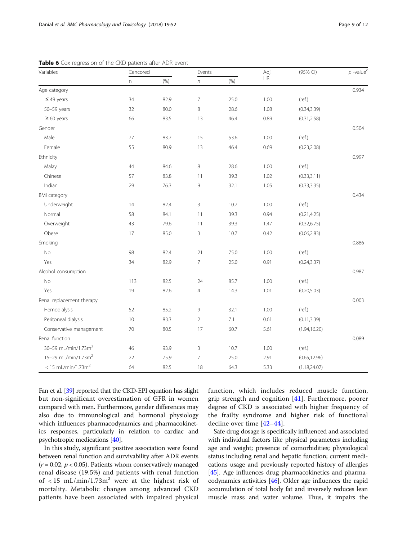| Variables                        | Cencored |      | Events           |      | Adj.          | (95% CI)      | $p$ -value <sup>c</sup> |  |
|----------------------------------|----------|------|------------------|------|---------------|---------------|-------------------------|--|
|                                  | n.       | (% ) | $\boldsymbol{n}$ | (%)  | $\mathsf{HR}$ |               |                         |  |
| Age category                     |          |      |                  |      |               |               | 0.934                   |  |
| $\leq$ 49 years                  | 34       | 82.9 | $\overline{7}$   | 25.0 | 1.00          | (ref.)        |                         |  |
| 50-59 years                      | 32       | 80.0 | $\,8\,$          | 28.6 | 1.08          | (0.34, 3.39)  |                         |  |
| $\geq 60$ years                  | 66       | 83.5 | 13               | 46.4 | 0.89          | (0.31, 2.58)  |                         |  |
| Gender                           |          |      |                  |      |               |               | 0.504                   |  |
| Male                             | 77       | 83.7 | 15               | 53.6 | 1.00          | (ref.)        |                         |  |
| Female                           | 55       | 80.9 | 13               | 46.4 | 0.69          | (0.23, 2.08)  |                         |  |
| Ethnicity                        |          |      |                  |      |               |               | 0.997                   |  |
| Malay                            | 44       | 84.6 | $\,8\,$          | 28.6 | 1.00          | (ref.)        |                         |  |
| Chinese                          | 57       | 83.8 | 11               | 39.3 | 1.02          | (0.33, 3.11)  |                         |  |
| Indian                           | 29       | 76.3 | 9                | 32.1 | 1.05          | (0.33, 3.35)  |                         |  |
| <b>BMI</b> category              |          |      |                  |      |               |               | 0.434                   |  |
| Underweight                      | 14       | 82.4 | 3                | 10.7 | 1.00          | (ref.)        |                         |  |
| Normal                           | 58       | 84.1 | 11               | 39.3 | 0.94          | (0.21, 4.25)  |                         |  |
| Overweight                       | 43       | 79.6 | 11               | 39.3 | 1.47          | (0.32, 6.75)  |                         |  |
| Obese                            | 17       | 85.0 | 3                | 10.7 | 0.42          | (0.06, 2.83)  |                         |  |
| Smoking                          |          |      |                  |      |               |               | 0.886                   |  |
| $\rm No$                         | 98       | 82.4 | 21               | 75.0 | 1.00          | (ref.)        |                         |  |
| Yes                              | 34       | 82.9 | $\overline{7}$   | 25.0 | 0.91          | (0.24, 3.37)  |                         |  |
| Alcohol consumption              |          |      |                  |      |               |               | 0.987                   |  |
| <b>No</b>                        | 113      | 82.5 | 24               | 85.7 | 1.00          | (ref.)        |                         |  |
| Yes                              | 19       | 82.6 | $\overline{4}$   | 14.3 | 1.01          | (0.20, 5.03)  |                         |  |
| Renal replacement therapy        |          |      |                  |      |               |               | 0.003                   |  |
| Hemodialysis                     | 52       | 85.2 | 9                | 32.1 | 1.00          | (ref.)        |                         |  |
| Peritoneal dialysis              | 10       | 83.3 | $\overline{2}$   | 7.1  | 0.61          | (0.11, 3.39)  |                         |  |
| Conservative management          | 70       | 80.5 | 17               | 60.7 | 5.61          | (1.94, 16.20) |                         |  |
| Renal function                   |          |      |                  |      |               |               | 0.089                   |  |
| 30-59 mL/min/1.73m <sup>2</sup>  | 46       | 93.9 | 3                | 10.7 | 1.00          | (ref.)        |                         |  |
| 15-29 mL/min/1.73m <sup>2</sup>  | 22       | 75.9 | $\overline{7}$   | 25.0 | 2.91          | (0.65, 12.96) |                         |  |
| $< 15$ mL/min/1.73m <sup>2</sup> | 64       | 82.5 | 18               | 64.3 | 5.33          | (1.18, 24.07) |                         |  |

<span id="page-8-0"></span>Table 6 Cox regression of the CKD patients after ADR event

Fan et al. [[39\]](#page-10-0) reported that the CKD-EPI equation has slight but non-significant overestimation of GFR in women compared with men. Furthermore, gender differences may also due to immunological and hormonal physiology which influences pharmacodynamics and pharmacokinetics responses, particularly in relation to cardiac and psychotropic medications [[40](#page-10-0)].

In this study, significant positive association were found between renal function and survivability after ADR events  $(r = 0.02, p < 0.05)$ . Patients whom conservatively managed renal disease (19.5%) and patients with renal function of  $<$  15 mL/min/1.73m<sup>2</sup> were at the highest risk of mortality. Metabolic changes among advanced CKD patients have been associated with impaired physical function, which includes reduced muscle function, grip strength and cognition [[41\]](#page-10-0). Furthermore, poorer degree of CKD is associated with higher frequency of the frailty syndrome and higher risk of functional decline over time [[42](#page-10-0)–[44](#page-10-0)].

Safe drug dosage is specifically influenced and associated with individual factors like physical parameters including age and weight; presence of comorbidities; physiological status including renal and hepatic function; current medications usage and previously reported history of allergies [[45](#page-10-0)]. Age influences drug pharmacokinetics and pharmacodynamics activities [\[46](#page-10-0)]. Older age influences the rapid accumulation of total body fat and inversely reduces lean muscle mass and water volume. Thus, it impairs the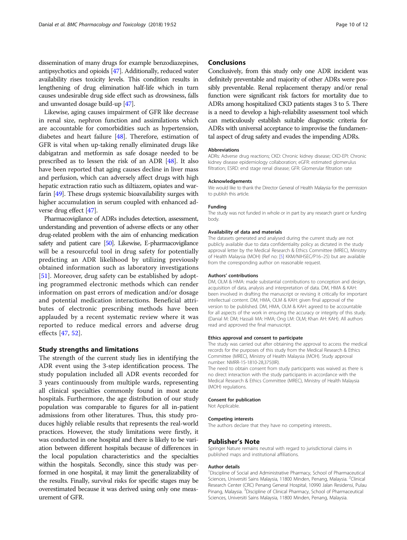Likewise, aging causes impairment of GFR like decrease in renal size, nephron function and assimilations which are accountable for comorbidities such as hypertension, diabetes and heart failure [[48](#page-10-0)]. Therefore, estimation of GFR is vital when up-taking renally eliminated drugs like dabigatran and metformin as safe dosage needed to be prescribed as to lessen the risk of an ADR [\[48\]](#page-10-0). It also have been reported that aging causes decline in liver mass and perfusion, which can adversely affect drugs with high hepatic extraction ratio such as diltiazem, opiates and warfarin [\[49\]](#page-10-0). These drugs systemic bioavailability surges with higher accumulation in serum coupled with enhanced adverse drug effect [\[47\]](#page-10-0).

Pharmacovigilance of ADRs includes detection, assessment, understanding and prevention of adverse effects or any other drug-related problem with the aim of enhancing medication safety and patient care [\[50\]](#page-11-0). Likewise, E-pharmacovigilance will be a resourceful tool in drug safety for potentially predicting an ADR likelihood by utilizing previously obtained information such as laboratory investigations [[51\]](#page-11-0). Moreover, drug safety can be established by adopting programmed electronic methods which can render information on past errors of medication and/or dosage and potential medication interactions. Beneficial attributes of electronic prescribing methods have been applauded by a recent systematic review where it was reported to reduce medical errors and adverse drug effects [[47,](#page-10-0) [52\]](#page-11-0).

### Study strengths and limitations

The strength of the current study lies in identifying the ADR event using the 3-step identification process. The study population included all ADR events recorded for 3 years continuously from multiple wards, representing all clinical specialties commonly found in most acute hospitals. Furthermore, the age distribution of our study population was comparable to figures for all in-patient admissions from other literatures. Thus, this study produces highly reliable results that represents the real-world practices. However, the study limitations were firstly, it was conducted in one hospital and there is likely to be variation between different hospitals because of differences in the local population characteristics and the specialties within the hospitals. Secondly, since this study was performed in one hospital, it may limit the generalizability of the results. Finally, survival risks for specific stages may be overestimated because it was derived using only one measurement of GFR.

### **Conclusions**

Conclusively, from this study only one ADR incident was definitely preventable and majority of other ADRs were possibly preventable. Renal replacement therapy and/or renal function were significant risk factors for mortality due to ADRs among hospitalized CKD patients stages 3 to 5. There is a need to develop a high-reliability assessment tool which can meticulously establish suitable diagnostic criteria for ADRs with universal acceptance to improvise the fundamental aspect of drug safety and evades the impending ADRs.

#### Abbreviations

ADRs: Adverse drug reactions; CKD: Chronic kidney disease; CKD-EPI: Chronic kidney disease epidemiology collaboration; eGFR: estimated glomerulus filtration; ESRD: end stage renal disease; GFR: Glomerular filtration rate

#### Acknowledgements

We would like to thank the Director General of Health Malaysia for the permission to publish this article.

#### Funding

The study was not funded in whole or in part by any research grant or funding body.

#### Availability of data and materials

The datasets generated and analysed during the current study are not publicly available due to data confidentiality policy as dictated in the study approval letter by the Medical Research & Ethics Committee (MREC), Ministry of Health Malaysia (MOH) (Ref no: [[5](#page-10-0)] KKM/NIHSEC/P16–25) but are available from the corresponding author on reasonable request.

#### Authors' contributions

DM, OLM & HMA: made substantial contributions to conception and design, acquisition of data, analysis and interpretation of data. DM, HMA & KAH: been involved in drafting the manuscript or revising it critically for important intellectual content. DM, HMA, OLM & KAH: given final approval of the version to be published. DM, HMA, OLM & KAH: agreed to be accountable for all aspects of the work in ensuring the accuracy or integrity of this study. (Danial M: DM; Hassali MA: HMA; Ong LM: OLM; Khan AH: KAH). All authors read and approved the final manuscript.

#### Ethics approval and consent to participate

The study was carried out after obtaining the approval to access the medical records for the purposes of this study from the Medical Research & Ethics Committee (MREC), Ministry of Health Malaysia (MOH). Study approval number: NMRR-15-1810-28,375(IIR).

The need to obtain consent from study participants was waived as there is no direct interaction with the study participants in accordance with the Medical Research & Ethics Committee (MREC), Ministry of Health Malaysia (MOH) regulations.

#### Consent for publication

Not Applicable.

#### Competing interests

The authors declare that they have no competing interests..

#### Publisher's Note

Springer Nature remains neutral with regard to jurisdictional claims in published maps and institutional affiliations.

#### Author details

<sup>1</sup> Discipline of Social and Administrative Pharmacy, School of Pharmaceutical Sciences, Universiti Sains Malaysia, 11800 Minden, Penang, Malaysia. <sup>2</sup>Clinical Research Center (CRC) Penang General Hospital, 10990 Jalan Residensi, Pulau Pinang, Malaysia. <sup>3</sup>Discipline of Clinical Pharmacy, School of Pharmaceutical Sciences, Universiti Sains Malaysia, 11800 Minden, Penang, Malaysia.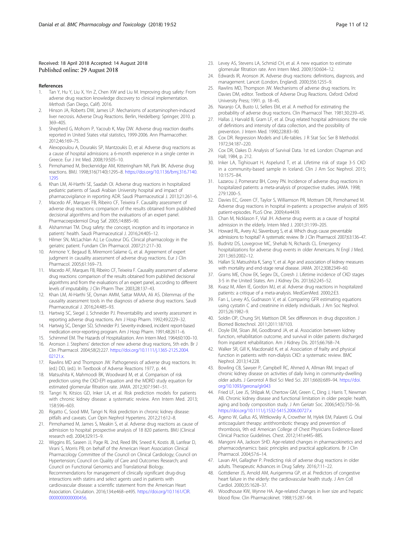#### <span id="page-10-0"></span>Received: 18 April 2018 Accepted: 14 August 2018 Published online: 29 August 2018

#### References

- 1. Tan Y, Hu Y, Liu X, Yin Z, Chen XW and Liu M. Improving drug safety: From adverse drug reaction knowledge discovery to clinical implementation. Methods (San Diego, Calif). 2016.
- 2. Hinson JA, Roberts DW, James LP. Mechanisms of acetaminophen-induced liver necrosis. Adverse Drug Reactions. Berlin, Heidelberg: Springer; 2010. p. 369–405.
- 3. Shepherd G, Mohorn P, Yacoub K, May DW. Adverse drug reaction deaths reported in United States vital statistics, 1999-2006. Ann Pharmacother. 2012;46:169–75.
- 4. Alexopoulou A, Dourakis SP, Mantzoukis D, et al. Adverse drug reactions as a cause of hospital admissions: a 6-month experience in a single center in Greece. Eur J Int Med. 2008;19:505–10.
- 5. Pirmohamed M, Breckenridge AM, Kitteringham NR, Park BK. Adverse drug reactions. BMJ. 1998;316(7140):1295–8. [https://doi.org/10.1136/bmj.316.7140.](https://doi.org/10.1136/bmj.316.7140.1295) [1295](https://doi.org/10.1136/bmj.316.7140.1295)
- 6. Khan LM, Al-Harthi SE, Saadah OI. Adverse drug reactions in hospitalized pediatric patients of Saudi Arabian University hospital and impact of pharmacovigilance in reporting ADR. Saudi Pharmaceutical J. 2013;21:261–6.
- 7. Macedo AF, Marques FB, Ribeiro CF, Teixeira F. Causality assessment of adverse drug reactions: comparison of the results obtained from published decisional algorithms and from the evaluations of an expert panel. Pharmacoepidemiol Drug Saf. 2005;14:885–90.
- 8. Alshammari TM. Drug safety: the concept, inception and its importance in patients' health. Saudi Pharmaceutical J. 2016;24:405–12.
- Hilmer SN, McLachlan AJ, Le Couteur DG. Clinical pharmacology in the geriatric patient. Fundam Clin Pharmacol. 2007;21:217–30.
- 10. Arimone Y, Begaud B, Miremont-Salame G, et al. Agreement of expert judgment in causality assessment of adverse drug reactions. Eur J Clin Pharmacol. 2005;61:169–73.
- 11. Macedo AF, Marques FB, Ribeiro CF, Teixeira F. Causality assessment of adverse drug reactions: comparison of the results obtained from published decisional algorithms and from the evaluations of an expert panel, according to different levels of imputability. J Clin Pharm Ther. 2003;28:137–43.
- 12. Khan LM, Al-Harthi SE, Osman AMM, Sattar MAAA, Ali AS. Dilemmas of the causality assessment tools in the diagnosis of adverse drug reactions. Saudi Pharmaceutical J. 2016;24:485–93.
- 13. Hartwig SC, Siegel J, Schneider PJ. Preventability and severity assessment in reporting adverse drug reactions. Am J Hosp Pharm. 1992;49:2229–32.
- 14. Hartwig SC, Denger SD, Schneider PJ. Severity-indexed, incident report-based medication error-reporting program. Am J Hosp Pharm. 1991;48:2611–6.
- 15. Schimmel EM. The Hazards of Hospitalization. Ann Intern Med. 1964;60:100–10.
- 16. Aronson J. Stephens' detection of new adverse drug reactions, 5th edn. Br J Clin Pharmacol. 2004;58(2):227. [https://doi.org/10.1111/j.1365-2125.2004.](https://doi.org/10.1111/j.1365-2125.2004.02121.x) 02121.x
- 17. Rawlins MD and Thompson JW. Pathogenesis of adverse drug reactions. In: (ed.) DD, (ed.). In Textbook of Adverse Reactions 1977, p. 44.
- 18. Matsushita K, Mahmoodi BK, Woodward M, et al. Comparison of risk prediction using the CKD-EPI equation and the MDRD study equation for estimated glomerular filtration rate. JAMA. 2012;307:1941–51.
- 19. Tangri N, Kitsios GD, Inker LA, et al. Risk prediction models for patients with chronic kidney disease: a systematic review. Ann Intern Med. 2013; 158:596–603.
- 20. Rigatto C, Sood MM, Tangri N. Risk prediction in chronic kidney disease: pitfalls and caveats. Curr Opin Nephrol Hypertens. 2012;21:612–8.
- 21. Pirmohamed M, James S, Meakin S, et al. Adverse drug reactions as cause of admission to hospital: prospective analysis of 18 820 patients. BMJ (Clinical research ed). 2004;329:15–9.
- 22. Wiggins BS, Saseen JJ, Page RL 2nd, Reed BN, Sneed K, Kostis JB, Lanfear D, Virani S, Morris PB; on behalf of the American Heart Association Clinical Pharmacology Committee of the Council on Clinical Cardiology; Council on Hypertension; Council on Quality of Care and Outcomes Research; and Council on Functional Genomics and Translational Biology. Recommendations for management of clinically significant drug-drug interactions with statins and select agents used in patients with cardiovascular disease: a scientific statement from the American Heart Association. Circulation. 2016;134:e468–e495. [https://doi.org/10.1161/CIR.](https://doi.org/10.1161/CIR.0000000000000456) [0000000000000456](https://doi.org/10.1161/CIR.0000000000000456).
- 23. Levey AS, Stevens LA, Schmid CH, et al. A new equation to estimate glomerular filtration rate. Ann Intern Med. 2009;150:604–12.
- 24. Edwards IR, Aronson JK. Adverse drug reactions: definitions, diagnosis, and management. Lancet (London, England). 2000;356:1255–9.
- 25. Rawlins MD, Thompson JW. Mechanisms of adverse drug reactions. In: Davies DM, editor. Textbook of Adverse Drug Reactions. Oxford: Oxford University Press; 1991. p. 18–45.
- 26. Naranjo CA, Busto U, Sellers EM, et al. A method for estimating the probability of adverse drug reactions. Clin Pharmacol Ther. 1981;30:239–45.
- 27. Hallas J, Harvald B, Gram LF, et al. Drug related hospital admissions: the role of definitions and intensity of data collection, and the possibility of prevention. J Intern Med. 1990;228:83–90.
- 28. Cox DR. Regression Models and Life-tables. J R Stat Soc Ser B Methodol. 1972;34:187–220.
- 29. Cox DR, Oakes D. Analysis of Survival Data. 1st ed. London: Chapman and Hall; 1984, p. 212.
- 30. Inker LA, Tighiouart H, Aspelund T, et al. Lifetime risk of stage 3-5 CKD in a community-based sample in Iceland. Clin J Am Soc Nephrol. 2015; 10:1575–84.
- 31. Lazarou J, Pomeranz BH, Corey PN. Incidence of adverse drug reactions in hospitalized patients: a meta-analysis of prospective studies. JAMA. 1998; 279:1200–5.
- 32. Davies EC, Green CF, Taylor S, Williamson PR, Mottram DR, Pirmohamed M. Adverse drug reactions in hospital in-patients: a prospective analysis of 3695 patient-episodes. PLoS One. 2009;4:e4439.
- 33. Chan M, Nicklason F, Vial JH. Adverse drug events as a cause of hospital admission in the elderly. Intern Med J. 2001;31:199–205.
- 34. Howard RL, Avery AJ, Slavenburg S, et al. Which drugs cause preventable admissions to hospital? A systematic review. Br J Clin Pharmacol. 2007;63:136–47.
- 35. Budnitz DS, Lovegrove MC, Shehab N, Richards CL. Emergency hospitalizations for adverse drug events in older Americans. N Engl J Med. 2011;365:2002–12.
- 36. Hallan SI, Matsushita K, Sang Y, et al. Age and association of kidney measures with mortality and end-stage renal disease. JAMA. 2012;308:2349–60.
- 37. Grams ME, Chow EK, Segev DL, Coresh J. Lifetime incidence of CKD stages 3-5 in the United States. Am J Kidney Dis. 2013;62:245–52.
- 38. Kvasz M, Allen IE, Gordon MJ, et al. Adverse drug reactions in hospitalized patients: a critique of a meta-analysis. MedGenMed. 2000;2:E3.
- 39. Fan L, Levey AS, Gudnason V, et al. Comparing GFR estimating equations using cystatin C and creatinine in elderly individuals. J Am Soc Nephrol. 2015;26:1982–9.
- 40. Soldin OP, Chung SH, Mattison DR. Sex differences in drug disposition. J Biomed Biotechnol. 2011;2011:187103.
- 41. Doyle EM, Sloan JM, Goodbrand JA, et al. Association between kidney function, rehabilitation outcome, and survival in older patients discharged from inpatient rehabilitation. Am J Kidney Dis. 2015;66:768–74.
- 42. Walker SR, Gill K, Macdonald K, et al. Association of frailty and physical function in patients with non-dialysis CKD: a systematic review. BMC Nephrol. 2013;14:228.
- 43. Bowling CB, Sawyer P, Campbell RC, Ahmed A, Allman RM. Impact of chronic kidney disease on activities of daily living in community-dwelling older adults. J Gerontol A Biol Sci Med Sci. 2011;66(6):689–94. [https://doi.](https://doi.org/10.1093/gerona/glr043) [org/10.1093/gerona/glr043](https://doi.org/10.1093/gerona/glr043)
- 44. Fried LF, Lee JS, Shlipak M, Chertow GM, Green C, Ding J, Harris T, Newman AB. Chronic kidney disease and functional limitation in older people: health, aging and body composition study. J Am Geriatr Soc. 2006;54(5):750–56. <https://doi.org/10.1111/j.1532-5415.2006.00727.x>
- 45. Ageno W, Gallus AS, Wittkowsky A, Crowther M, Hylek EM, Palareti G. Oral anticoagulant therapy: antithrombotic therapy and prevention of thrombosis, 9th ed: American College of Chest Physicians Evidence-Based Clinical Practice Guidelines. Chest. 2012;141:e44S–88S.
- 46. Mangoni AA, Jackson SHD. Age-related changes in pharmacokinetics and pharmacodynamics: basic principles and practical applications. Br J Clin Pharmacol. 2004;57:6–14.
- 47. Lavan AH, Gallagher P. Predicting risk of adverse drug reactions in older adults. Therapeutic Advances in Drug Safety. 2016;7:11–22.
- 48. Gottdiener JS, Arnold AM, Aurigemma GP, et al. Predictors of congestive heart failure in the elderly: the cardiovascular health study. J Am Coll Cardiol. 2000;35:1628–37.
- 49. Woodhouse KW, Wynne HA. Age-related changes in liver size and hepatic blood flow. Clin Pharmacokinet. 1988;15:287–94.